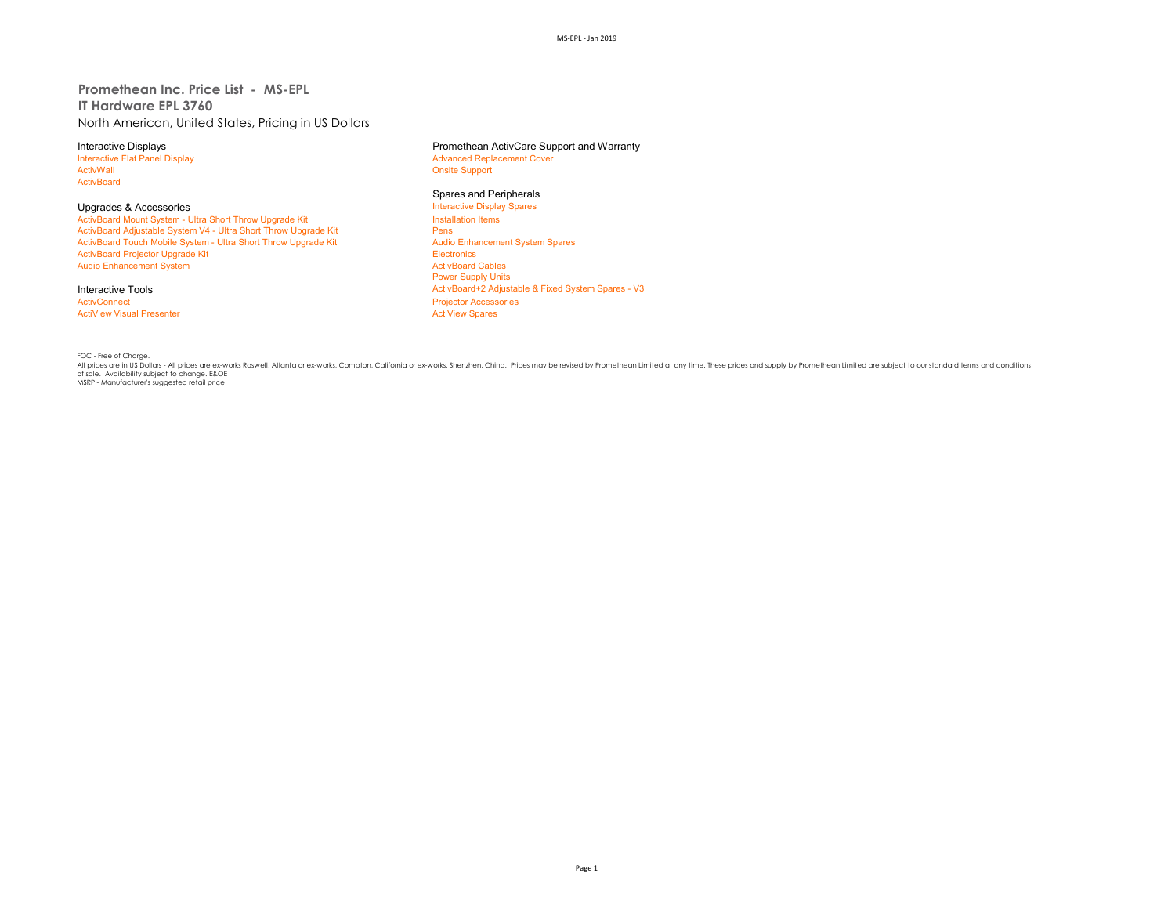# **Promethean Inc. Price List - MS-EPL IT Hardware EPL 3760** North American, United States, Pricing in US Dollars

Interactive Flat Panel Display and the Supervisor of Advanced Replacement Cover<br>
Advanced Replacement Cover<br>
Advanced Replacement Cover ActivBoard

Upgrades & Accessories<br>
ActivBoard Mount System - Ultra Short Throw Upgrade Kit **Interactive Display Spares ActivBoard Mount System - Ultra Short Throw Upgrade Kit** - ActivBoard Mount System - Ultra Short Throw Upgrade Kit Install<br>ActivBoard Adiustable System V4 - Ultra Short Throw Upgrade Kit Install ActivBoard Adjustable System V4 - Ultra Short Throw Upgrade Kit **Pens**<br>ActivBoard Touch Mobile System - Ultra Short Throw Upgrade Kit Pensill Pensill Audio Enhancement System Spares ActivBoard Touch Mobile System - Ultra Short Throw Upgrade Kit Audio Enhancement System Spares Audio Enhancement System Spares Audio Enhancement System Spares Audio Enhancement System Spares Audio Enhancement System Spares ActivBoard Projector Upgrade Kit **Electronics**<br>
ActivBoard Projector Upgrade Kit Electronics<br>
ActivBoard Cables Audio Enhancement System

# **ActiView Visual Presenter**

Interactive Displays **Interactive Displays** Promethean ActivCare Support and Warranty<br>
Interactive Flat Panel Display **Promethean ActivCare Support and Warranty Onsite Support** 

**Spares and Peripherals<br>Interactive Display Spares** Power Supply Units Interactive Tools<br>
ActivBoard+2 Adjustable & Fixed System Spares - V3<br>
ActivConnect<br>
Projector Accessories Projector Accessories<br>ActiView Spares

FOC - Free of Charge.<br>All prices are in US Dollars - All prices are ex-works Roswell, Atlanta or ex-works, Compton, Califomia or ex-works, Shenzhen, China. Prices may be revised by Promethean Limited at any time. These pri of sale. Availability subject to change. E&OE<br>MSRP - Manufacturer's suggested retail price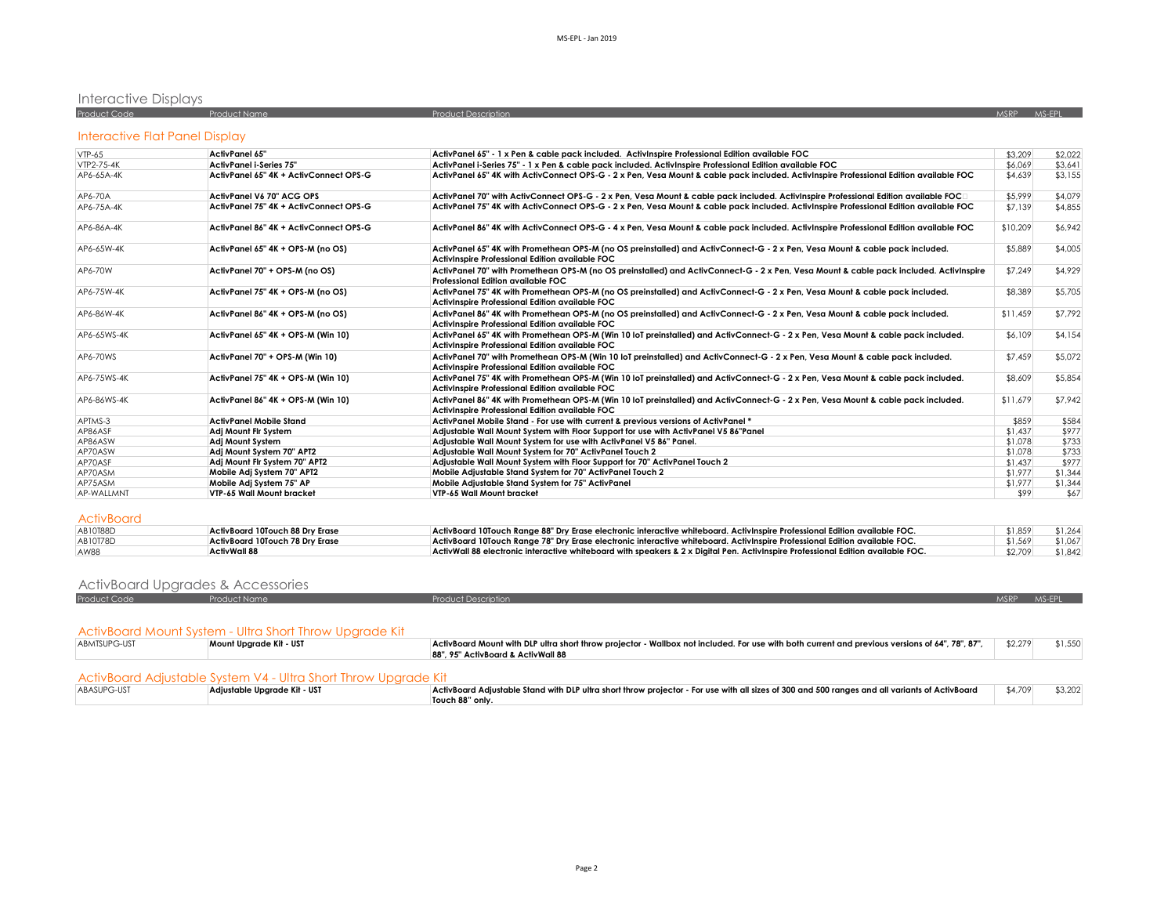# Interactive Displays

| <b>Product Code</b> | Product Name | <b>Product Description</b> | <b>MSRP</b> | AAS EDI |  |
|---------------------|--------------|----------------------------|-------------|---------|--|
|                     |              |                            |             |         |  |

# Interactive Flat Panel Display

| $VTP-65$    | <b>ActivPanel 65"</b>                  | ActivPanel 65" - 1 x Pen & cable pack included. ActivInspire Professional Edition available FOC                                                                                      | \$3,209  | \$2,022 |
|-------------|----------------------------------------|--------------------------------------------------------------------------------------------------------------------------------------------------------------------------------------|----------|---------|
| VTP2-75-4K  | <b>ActivPanel i-Series 75'</b>         | ActivPanel i-Series 75" - 1 x Pen & cable pack included. ActivInspire Professional Edition available FOC                                                                             | \$6.069  | \$3.641 |
| AP6-65A-4K  | ActivPanel 65" 4K + ActivConnect OPS-G | ActivPanel 65" 4K with ActivConnect OPS-G - 2 x Pen, Vesa Mount & cable pack included. ActivInspire Professional Edition available FOC                                               | \$4,639  | \$3,155 |
| AP6-70A     | ActivPanel V6 70" ACG OPS              | ActivPanel 70" with ActivConnect OPS-G - 2 x Pen, Vesa Mount & cable pack included. ActivInspire Professional Edition available FOCD                                                 | \$5,999  | \$4,079 |
| AP6-75A-4K  | ActivPanel 75" 4K + ActivConnect OPS-G | ActivPanel 75" 4K with ActivConnect OPS-G - 2 x Pen, Vesa Mount & cable pack included. ActivInspire Professional Edition available FOC                                               | \$7,139  | \$4,855 |
| AP6-86A-4K  | ActivPanel 86" 4K + ActivConnect OPS-G | ActivPanel 86" 4K with ActivConnect OPS-G - 4 x Pen, Vesa Mount & cable pack included. ActivInspire Professional Edition available FOC                                               | \$10,209 | \$6,942 |
| AP6-65W-4K  | ActivPanel 65" 4K + OPS-M (no OS)      | ActivPanel 65" 4K with Promethean OPS-M (no OS preinstalled) and ActivConnect-G - 2 x Pen, Vesa Mount & cable pack included.<br>ActivInspire Professional Edition available FOC      | \$5,889  | \$4,005 |
| AP6-70W     | ActivPanel 70" + OPS-M (no OS)         | ActivPanel 70" with Promethean OPS-M (no OS preinstalled) and ActivConnect-G - 2 x Pen, Vesa Mount & cable pack included. ActivInspire<br>Professional Edition available FOC         | \$7,249  | \$4,929 |
| AP6-75W-4K  | ActivPanel 75" 4K + OPS-M (no OS)      | ActivPanel 75" 4K with Promethean OPS-M (no OS preinstalled) and ActivConnect-G - 2 x Pen, Vesa Mount & cable pack included.<br>ActivInspire Professional Edition available FOC      | \$8,389  | \$5,705 |
| AP6-86W-4K  | ActivPanel 86" 4K + OPS-M (no OS)      | ActivPanel 86" 4K with Promethean OPS-M (no OS preinstalled) and ActivConnect-G - 2 x Pen, Vesa Mount & cable pack included.<br>ActivInspire Professional Edition available FOC      | \$11,459 | \$7,792 |
| AP6-65WS-4K | ActivPanel 65" 4K + OPS-M (Win 10)     | ActivPanel 65" 4K with Promethean OPS-M (Win 10 IoT preinstalled) and ActivConnect-G - 2 x Pen, Vesa Mount & cable pack included.<br>ActivInspire Professional Edition available FOC | \$6,109  | \$4,154 |
| AP6-70WS    | ActivPanel 70" + OPS-M (Win 10)        | ActivPanel 70" with Promethean OPS-M (Win 10 loT preinstalled) and ActivConnect-G - 2 x Pen, Vesa Mount & cable pack included.<br>ActivInspire Professional Edition available FOC    | \$7,459  | \$5,072 |
| AP6-75WS-4K | ActivPanel 75" 4K + OPS-M (Win 10)     | ActivPanel 75" 4K with Promethean OPS-M (Win 10 loT preinstalled) and ActivConnect-G - 2 x Pen, Vesa Mount & cable pack included.<br>ActivInspire Professional Edition available FOC | \$8,609  | \$5,854 |
| AP6-86WS-4K | ActivPanel 86" 4K + OPS-M (Win 10)     | ActivPanel 86" 4K with Promethean OPS-M (Win 10 loT preinstalled) and ActivConnect-G - 2 x Pen, Vesa Mount & cable pack included.<br>ActivInspire Professional Edition available FOC | \$11,679 | \$7,942 |
| APTMS-3     | <b>ActivPanel Mobile Stand</b>         | ActivPanel Mobile Stand - For use with current & previous versions of ActivPanel *                                                                                                   | \$859    | \$584   |
| AP86ASF     | Adi Mount Fir System                   | Adjustable Wall Mount System with Floor Support for use with ActivPanel V5 86"Panel                                                                                                  | \$1,437  | \$977   |
| AP86ASW     | Adj Mount System                       | Adjustable Wall Mount System for use with ActivPanel V5 86" Panel.                                                                                                                   | \$1,078  | \$733   |
| AP70ASW     | Adi Mount System 70" APT2              | Adjustable Wall Mount System for 70" ActivPanel Touch 2                                                                                                                              | \$1,078  | \$733   |
| AP70ASF     | Adi Mount Fir System 70" APT2          | Adiustable Wall Mount System with Floor Support for 70" ActivPanel Touch 2                                                                                                           | \$1,437  | \$977   |
| AP70ASM     | Mobile Adj System 70" APT2             | Mobile Adjustable Stand System for 70" ActivPanel Touch 2                                                                                                                            | \$1,977  | \$1,344 |
| AP75ASM     | Mobile Adj System 75" AP               | Mobile Adjustable Stand System for 75" ActivPanel                                                                                                                                    | \$1,977  | \$1,344 |
| AP-WALLMNT  | VTP-65 Wall Mount bracket              | VTP-65 Wall Mount bracket                                                                                                                                                            | \$99     | \$67    |

| <b>AB10T88D</b> | ActivBoard 10Touch 88 Dry Erase | ActivBoard 10Touch Range 88" Dry Erase electronic interactive whiteboard. ActivInspire Professional Edition available FOC.       | \$1,859 | \$1.264 |
|-----------------|---------------------------------|----------------------------------------------------------------------------------------------------------------------------------|---------|---------|
| AB10T78D        | ActivBoard 10Touch 78 Dry Erase | ActivBoard 10Touch Range 78" Dry Erase electronic interactive whiteboard. ActivInspire Professional Edition available FOC.       | \$1.569 | \$1,067 |
| AW88            | ActivWall 88                    | ActivWall 88 electronic interactive whiteboard with speakers & 2 x Digital Pen. ActivInspire Professional Edition available FOC. | \$2,709 | \$1,842 |

# ActivBoard Upgrades & Accessories

| , ion record opgraacs a , iooossonos |                     |                            |            |  |
|--------------------------------------|---------------------|----------------------------|------------|--|
| Product Code                         | <b>Product Name</b> | <b>Product Description</b> | MSRP MS-EP |  |
|                                      |                     |                            |            |  |

# ActivBoard Mount System - Ultra Short Throw Upgrade Kit

| ABMTSUPG-UST | Mount Uparade Kit - UST                                         | ActivBoard Mount with DLP ultra short throw projector - Wallbox not included. For use with both current and previous versions of 64", 78", 87", | \$2.279 | \$1,550 |
|--------------|-----------------------------------------------------------------|-------------------------------------------------------------------------------------------------------------------------------------------------|---------|---------|
|              |                                                                 | 88", 95" ActivBoard & ActivWall 88                                                                                                              |         |         |
|              |                                                                 |                                                                                                                                                 |         |         |
|              | ActivBoard Adjustable System V4 - Ultra Short Throw Uparade Kit |                                                                                                                                                 |         |         |
| ABASUPG-UST  | Adiustable Uparade Kit - UST                                    | ActivBoard Adjustable Stand with DLP ultra short throw projector - For use with all sizes of 300 and 500 ranges and all variants of ActivBoard  | \$4,709 | \$3,202 |
|              |                                                                 | Touch 88" only.                                                                                                                                 |         |         |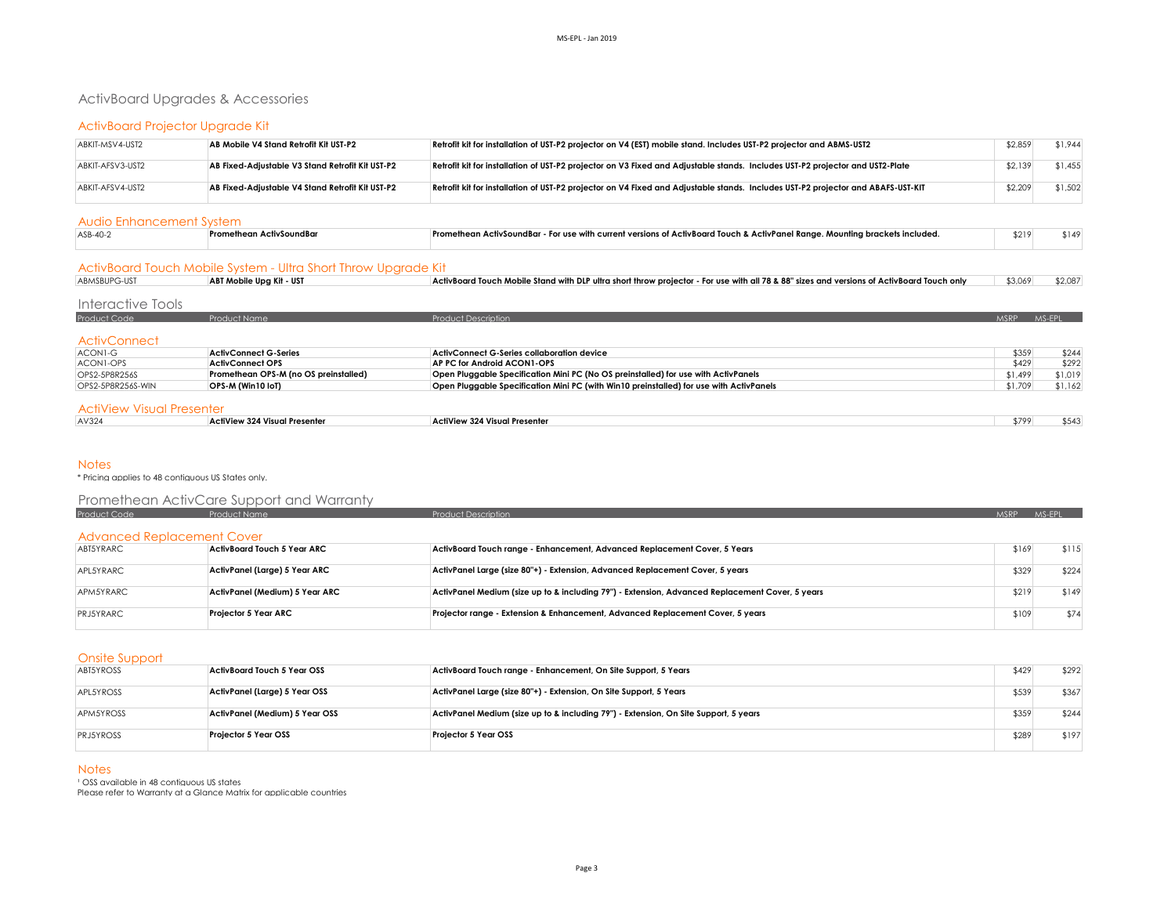# ActivBoard Upgrades & Accessories

# ActivBoard Projector Upgrade Kit

| ABKIT-MSV4-UST2  | AB Mobile V4 Stand Retrofit Kit UST-P2           | Retrofit kit for installation of UST-P2 projector on V4 (EST) mobile stand. Includes UST-P2 projector and ABMS-UST2              | \$2,859 | \$1,944 |
|------------------|--------------------------------------------------|----------------------------------------------------------------------------------------------------------------------------------|---------|---------|
| ABKIT-AFSV3-UST2 | AB Fixed-Adiustable V3 Stand Retrofit Kit UST-P2 | Retrofit kit for installation of UST-P2 projector on V3 Fixed and Adjustable stands. Includes UST-P2 projector and UST2-Plate    | \$2.139 | \$1,455 |
| ABKIT-AFSV4-UST2 | AB Fixed-Adiustable V4 Stand Retrofit Kit UST-P2 | Retrofit kit for installation of UST-P2 projector on V4 Fixed and Adjustable stands. Includes UST-P2 projector and ABAFS-UST-KIT | \$2,209 | \$1,502 |

#### Audio Enhancement System

| ASB-40-2 | tivSoundBc | . Mountina brackets included.<br>: • an ActivSoundBar - For use with current versions of ActivBoard Touch & ActivPanel Ranae. • | \$219 | $\sim 149$ |  |  |  |
|----------|------------|---------------------------------------------------------------------------------------------------------------------------------|-------|------------|--|--|--|
|          |            |                                                                                                                                 |       |            |  |  |  |

## ActivBoard Touch Mobile System - Ultra Short Throw Upgrade Kit

| ABMSBUPG-UST | ABT Mobile Upg Kit - UST | ActivBoard Touch Mobile Stand with DLP ultra short throw projector - For use with all 78 & 88" sizes and versions of ActivBoard Touch only | \$3,069 \$2,087 |
|--------------|--------------------------|--------------------------------------------------------------------------------------------------------------------------------------------|-----------------|
|              |                          |                                                                                                                                            |                 |

| Interactive Tools                |                                       |                                                                                         |             |         |
|----------------------------------|---------------------------------------|-----------------------------------------------------------------------------------------|-------------|---------|
| Product Code                     | <b>Product Name</b>                   | Product Description                                                                     | <b>MSRP</b> | MS-EPL  |
| <b>ActivConnect</b>              |                                       |                                                                                         |             |         |
| ACON1-G                          | <b>ActivConnect G-Series</b>          | <b>ActivConnect G-Series collaboration device</b>                                       | \$359       | \$244   |
| ACON1-OPS                        | <b>ActivConnect OPS</b>               | AP PC for Android ACON1-OPS                                                             | \$429       | \$292   |
| OPS2-5P8R256S                    | Promethean OPS-M (no OS preinstalled) | Open Pluggable Specification Mini PC (No OS preinstalled) for use with ActivPanels      | \$1,499     | \$1,019 |
| OPS2-5P8R256S-WIN                | OPS-M (Win10 IoT)                     | Open Pluggable Specification Mini PC (with Win10 preinstalled) for use with ActivPanels | \$1.709     | \$1,162 |
| <b>ActiView Visual Presenter</b> |                                       |                                                                                         |             |         |
| AV324                            | <b>ActiView 324 Visual Presenter</b>  | ActiView 324 Visual Presenter                                                           | \$799       | \$543   |

### **Notes**

\* Pricing applies to 48 contiguous US States only.

# Promethean ActivCare Support and Warranty

| Product Code                      | Product Name                   | <b>Product Description</b>                                                                      | MSRP - | MS-FPI |
|-----------------------------------|--------------------------------|-------------------------------------------------------------------------------------------------|--------|--------|
|                                   |                                |                                                                                                 |        |        |
| <b>Advanced Replacement Cover</b> |                                |                                                                                                 |        |        |
| ABT5YRARC                         | ActivBoard Touch 5 Year ARC    | ActivBoard Touch range - Enhancement, Advanced Replacement Cover, 5 Years                       | \$169  | \$115  |
|                                   |                                |                                                                                                 |        |        |
| APL5YRARC                         | ActivPanel (Large) 5 Year ARC  | ActivPanel Large (size 80"+) - Extension, Advanced Replacement Cover, 5 years                   | \$329  | \$224  |
| APM5YRARC                         | ActivPanel (Medium) 5 Year ARC | ActivPanel Medium (size up to & including 79") - Extension, Advanced Replacement Cover, 5 years | \$219  | \$149  |
|                                   |                                |                                                                                                 |        |        |
| <b>PRJ5YRARC</b>                  | <b>Projector 5 Year ARC</b>    | Projector range - Extension & Enhancement, Advanced Replacement Cover, 5 years                  | \$109  | \$74   |
|                                   |                                |                                                                                                 |        |        |

#### Onsite Support

| <b>ABT5YROSS</b> | ActivBoard Touch 5 Year OSS    | ActivBoard Touch range - Enhancement, On Site Support, 5 Years                       | \$429 | \$292 |
|------------------|--------------------------------|--------------------------------------------------------------------------------------|-------|-------|
| APL5YROSS        | ActivPanel (Large) 5 Year OSS  | ActivPanel Large (size 80"+) - Extension, On Site Support, 5 Years                   | \$539 | \$367 |
| APM5YROSS        | ActivPanel (Medium) 5 Year OSS | ActivPanel Medium (size up to & including 79") - Extension, On Site Support, 5 years | \$359 | \$244 |
| <b>PRJ5YROSS</b> | <b>Projector 5 Year OSS</b>    | Projector 5 Year OSS                                                                 | \$289 | \$197 |

### **Notes**

<sup>1</sup> OSS available in 48 contiguous US states Please refer to Warranty at a Glance Matrix for applicable countries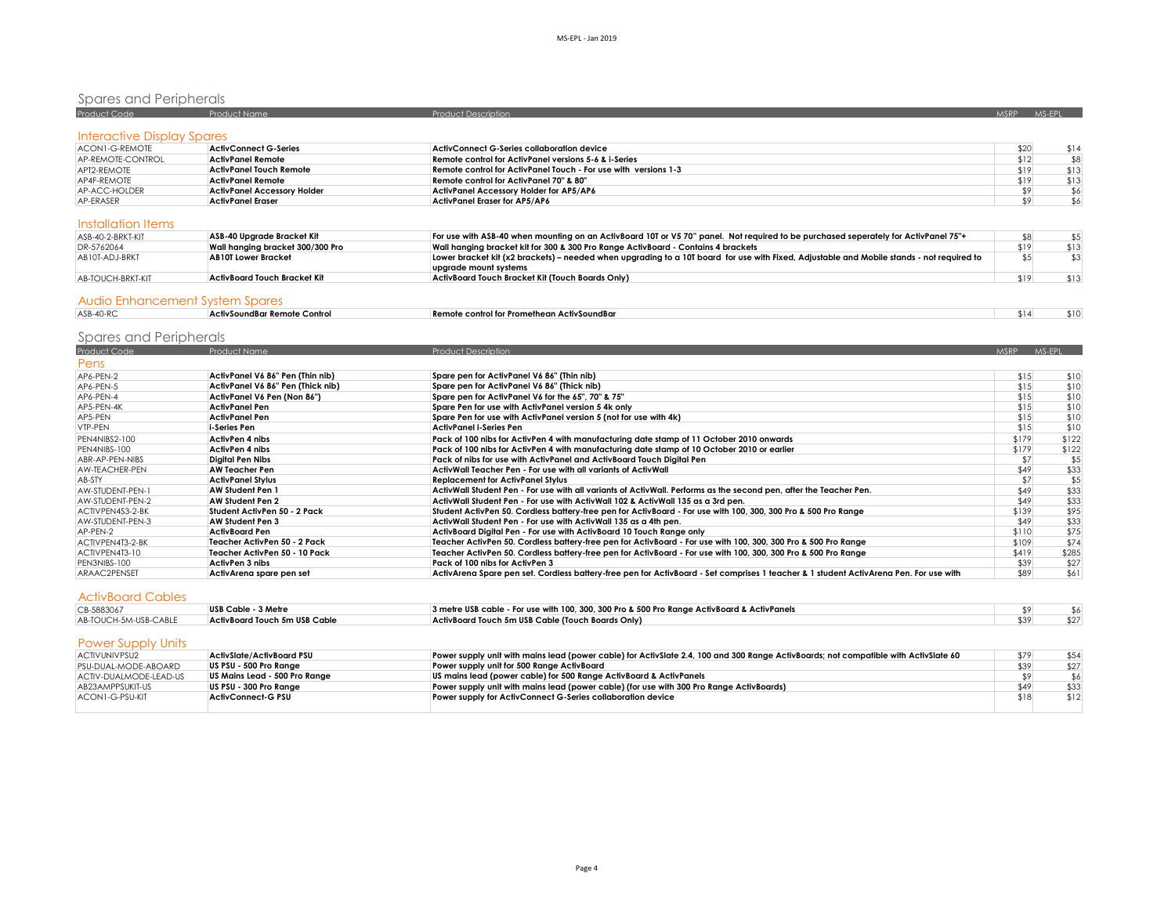# Spares and Peripherals

| Product Code                      | Product Name                       | <b>Product Description</b>                                      | <b>MSRP</b> | MS-EPL |
|-----------------------------------|------------------------------------|-----------------------------------------------------------------|-------------|--------|
| <b>Interactive Display Spares</b> |                                    |                                                                 |             |        |
| ACON1-G-REMOTE                    | <b>ActivConnect G-Series</b>       | ActivConnect G-Series collaboration device                      | \$20        | \$14   |
| AP-REMOTE-CONTROL                 | <b>ActivPanel Remote</b>           | Remote control for ActivPanel versions 5-6 & i-Series           | \$12        | \$8    |
| APT2-REMOTE                       | <b>ActivPanel Touch Remote</b>     | Remote control for ActivPanel Touch - For use with versions 1-3 | \$19        | \$13   |
| AP4F-REMOTE                       | <b>ActivPanel Remote</b>           | Remote control for ActivPanel 70" & 80"                         | \$19        | \$13   |
| AP-ACC-HOLDER                     | <b>ActivPanel Accessory Holder</b> | ActivPanel Accessory Holder for AP5/AP6                         |             | \$6    |
| AP-ERASER                         | <b>ActivPanel Eraser</b>           | ActivPanel Eraser for AP5/AP6                                   |             | \$6    |

## Installation Items

| ASB-40-2-BRKT-KIT | ASB-40 Uparade Bracket Kit       | For use with ASB-40 when mounting on an ActivBoard 10T or V5 70" panel. Not required to be purchased seperately for ActivPanel 75"+       |      |
|-------------------|----------------------------------|-------------------------------------------------------------------------------------------------------------------------------------------|------|
| DR-5762064        | Wall hanging bracket 300/300 Pro | Wall hanging bracket kit for 300 & 300 Pro Range ActivBoard - Contains 4 brackets                                                         | \$13 |
| AB10T-ADJ-BRKT    | <b>AB10T Lower Bracket</b>       | Lower bracket kit (x2 brackets) – needed when upgrading to a 10T board for use with Fixed, Adjustable and Mobile stands - not required to |      |
|                   |                                  | upgrade mount systems                                                                                                                     |      |
| AB-TOUCH-BRKT-KIT | ActivBoard Touch Bracket Kit     | ActivBoard Touch Bracket Kit (Touch Boards Only)                                                                                          | \$13 |
|                   |                                  |                                                                                                                                           |      |
|                   |                                  |                                                                                                                                           |      |

#### Audio Enhancement System Spares

| ASB-40-RC | Control<br><b>ActivSoundRar</b> | - Remote control for Promethean ActivSoundBar |  |  |
|-----------|---------------------------------|-----------------------------------------------|--|--|
|           |                                 |                                               |  |  |

# Spares and Peripherals

| Product Name                      | <b>Product Description</b>                                                                                                            |       | MS-EPL      |
|-----------------------------------|---------------------------------------------------------------------------------------------------------------------------------------|-------|-------------|
|                                   |                                                                                                                                       |       |             |
| ActivPanel V6 86" Pen (Thin nib)  | Spare pen for ActivPanel V6 86" (Thin nib)                                                                                            | \$15  | \$10        |
| ActivPanel V6 86" Pen (Thick nib) | Spare pen for ActivPanel V6 86" (Thick nib)                                                                                           | \$15  | \$10        |
| ActivPanel V6 Pen (Non 86")       | Spare pen for ActivPanel V6 for the 65", 70" & 75"                                                                                    | \$15  | \$10        |
| ActivPanel Pen                    | Spare Pen for use with ActivPanel version 5 4k only                                                                                   | \$15  | \$10        |
| ActivPanel Pen                    | Spare Pen for use with ActivPanel version 5 (not for use with 4k)                                                                     | \$15  | \$10        |
| i-Series Pen                      | ActivPanel i-Series Pen                                                                                                               | \$15  | \$10        |
| ActivPen 4 nibs                   | Pack of 100 nibs for ActivPen 4 with manufacturing date stamp of 11 October 2010 onwards                                              | \$179 | \$122       |
| ActivPen 4 nibs                   | Pack of 100 nibs for ActivPen 4 with manufacturing date stamp of 10 October 2010 or earlier                                           | \$179 | \$122       |
| <b>Diaital Pen Nibs</b>           | Pack of nibs for use with ActivPanel and ActivBoard Touch Digital Pen                                                                 | \$7   | \$5         |
| <b>AW Teacher Pen</b>             | ActivWall Teacher Pen - For use with all variants of ActivWall                                                                        | \$49  | \$33        |
| <b>ActivPanel Stylus</b>          | <b>Replacement for ActivPanel Stylus</b>                                                                                              | \$7   | \$5         |
| AW Student Pen 1                  | ActivWall Student Pen - For use with all variants of ActivWall. Performs as the second pen, after the Teacher Pen,                    | \$49  | \$33        |
| AW Student Pen 2                  | ActivWall Student Pen - For use with ActivWall 102 & ActivWall 135 as a 3rd pen.                                                      | \$49  | \$33        |
| Student ActivPen 50 - 2 Pack      | Student ActivPen 50. Cordless battery-free pen for ActivBoard - For use with 100, 300, 300 Pro & 500 Pro Range                        | \$139 | \$95        |
| AW Student Pen 3                  | ActivWall Student Pen - For use with ActivWall 135 as a 4th pen.                                                                      | \$49  | \$33        |
| <b>ActivBoard Pen</b>             | ActivBoard Digital Pen - For use with ActivBoard 10 Touch Range only                                                                  | \$110 | \$75        |
| Teacher ActivPen 50 - 2 Pack      | Teacher ActivPen 50. Cordless battery-free pen for ActivBoard - For use with 100, 300, 300 Pro & 500 Pro Range                        | \$109 | \$74        |
| Teacher ActivPen 50 - 10 Pack     | Teacher ActivPen 50. Cordless battery-free pen for ActivBoard - For use with 100, 300, 300 Pro & 500 Pro Range                        | \$419 | \$285       |
| ActivPen 3 nibs                   | Pack of 100 nibs for ActivPen 3                                                                                                       | \$39  | \$27        |
| ActivArena spare pen set          | ActivArena Spare pen set. Cordless battery-free pen for ActivBoard - Set comprises 1 teacher & 1 student ActivArena Pen. For use with | \$89  | \$61        |
|                                   |                                                                                                                                       |       | <b>MSRP</b> |

# ActivBoard Cables

| CB-5883067            | USB Cable - 3 Metre           | 3 metre USB cable - For use with 100, 300, 300 Pro & 500 Pro Range ActivBoard & ActivPanels |  |
|-----------------------|-------------------------------|---------------------------------------------------------------------------------------------|--|
| AB-TOUCH-5M-USB-CABLE | ActivBoard Touch 5m USB Cable | ActivBoard Touch 5m USB Cable (Touch Boards Only)                                           |  |

# Power Supply Units

| <b>ACTIVUNIVPSU2</b>   | ActivSlate/ActivBoard PSU     | Power supply unit with mains lead (power cable) for ActivSlate 2.4, 100 and 300 Range ActivBoards; not compatible with ActivSlate 60 | \$79 | \$54 |
|------------------------|-------------------------------|--------------------------------------------------------------------------------------------------------------------------------------|------|------|
| PSU-DUAL-MODE-ABOARD   | US PSU - 500 Pro Ranae        | Power supply unit for 500 Range ActivBoard                                                                                           | \$39 | \$27 |
| ACTIV-DUALMODE-LEAD-US | US Mains Lead - 500 Pro Range | US mains lead (power cable) for 500 Ranae ActivBoard & ActivPanels                                                                   |      | \$6  |
| AB23AMPPSUKIT-US       | US PSU - 300 Pro Ranae        | Power supply unit with mains lead (power cable) (for use with 300 Pro Range ActivBoards)                                             | \$49 | \$33 |
| ACON1-G-PSU-KIT        | <b>ActivConnect-G PSU</b>     | Power supply for ActivConnect G-Series collaboration device                                                                          | \$18 | \$12 |
|                        |                               |                                                                                                                                      |      |      |